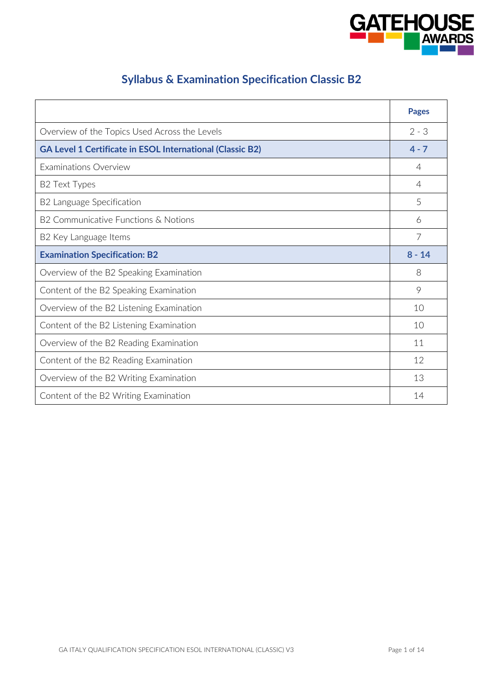

# **Syllabus & Examination Specification Classic B2**

|                                                                  | <b>Pages</b> |
|------------------------------------------------------------------|--------------|
| Overview of the Topics Used Across the Levels                    | $2 - 3$      |
| <b>GA Level 1 Certificate in ESOL International (Classic B2)</b> | $4 - 7$      |
| <b>Examinations Overview</b>                                     | 4            |
| <b>B2 Text Types</b>                                             | 4            |
| B2 Language Specification                                        | 5            |
| B2 Communicative Functions & Notions                             | 6            |
| B2 Key Language Items                                            | 7            |
| <b>Examination Specification: B2</b>                             | $8 - 14$     |
| Overview of the B2 Speaking Examination                          | 8            |
| Content of the B2 Speaking Examination                           | 9            |
| Overview of the B2 Listening Examination                         | 10           |
| Content of the B2 Listening Examination                          | 10           |
| Overview of the B2 Reading Examination                           | 11           |
| Content of the B2 Reading Examination                            | 12           |
| Overview of the B2 Writing Examination                           | 13           |
| Content of the B2 Writing Examination                            | 14           |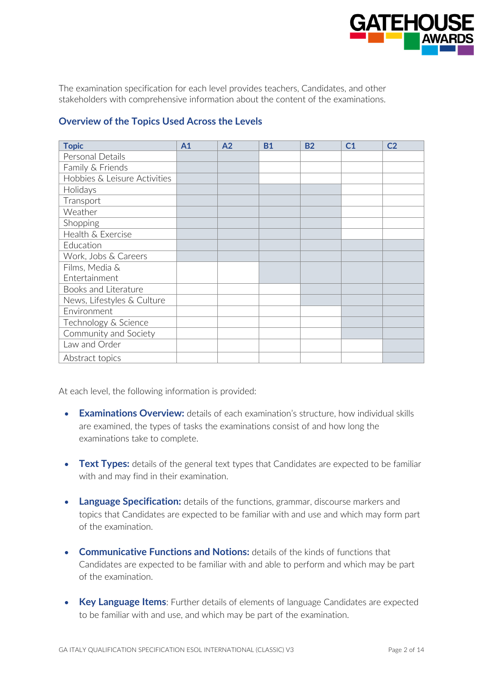

The examination specification for each level provides teachers, Candidates, and other stakeholders with comprehensive information about the content of the examinations.

| <b>Topic</b>                 | A <sub>1</sub> | A2 | <b>B1</b> | <b>B2</b> | C <sub>1</sub> | C <sub>2</sub> |
|------------------------------|----------------|----|-----------|-----------|----------------|----------------|
| Personal Details             |                |    |           |           |                |                |
| Family & Friends             |                |    |           |           |                |                |
| Hobbies & Leisure Activities |                |    |           |           |                |                |
| Holidays                     |                |    |           |           |                |                |
| Transport                    |                |    |           |           |                |                |
| Weather                      |                |    |           |           |                |                |
| Shopping                     |                |    |           |           |                |                |
| Health & Exercise            |                |    |           |           |                |                |
| Education                    |                |    |           |           |                |                |
| Work, Jobs & Careers         |                |    |           |           |                |                |
| Films, Media &               |                |    |           |           |                |                |
| Entertainment                |                |    |           |           |                |                |
| Books and Literature         |                |    |           |           |                |                |
| News, Lifestyles & Culture   |                |    |           |           |                |                |
| Environment                  |                |    |           |           |                |                |
| Technology & Science         |                |    |           |           |                |                |
| Community and Society        |                |    |           |           |                |                |
| Law and Order                |                |    |           |           |                |                |
| Abstract topics              |                |    |           |           |                |                |

### **Overview of the Topics Used Across the Levels**

At each level, the following information is provided:

- **Examinations Overview:** details of each examination's structure, how individual skills are examined, the types of tasks the examinations consist of and how long the examinations take to complete.
- Text Types: details of the general text types that Candidates are expected to be familiar with and may find in their examination.
- **Language Specification:** details of the functions, grammar, discourse markers and topics that Candidates are expected to be familiar with and use and which may form part of the examination.
- **Communicative Functions and Notions:** details of the kinds of functions that Candidates are expected to be familiar with and able to perform and which may be part of the examination.
- **Key Language Items**: Further details of elements of language Candidates are expected to be familiar with and use, and which may be part of the examination.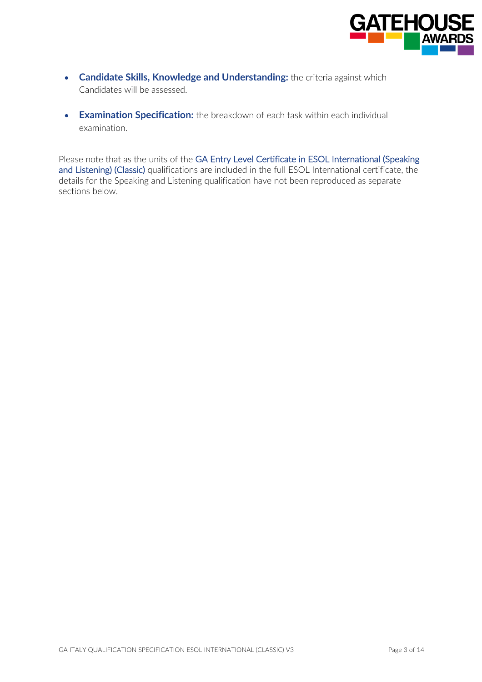

- **Candidate Skills, Knowledge and Understanding:** the criteria against which Candidates will be assessed.
- **Examination Specification:** the breakdown of each task within each individual examination.

Please note that as the units of the GA Entry Level Certificate in ESOL International (Speaking and Listening) (Classic) qualifications are included in the full ESOL International certificate, the details for the Speaking and Listening qualification have not been reproduced as separate sections below.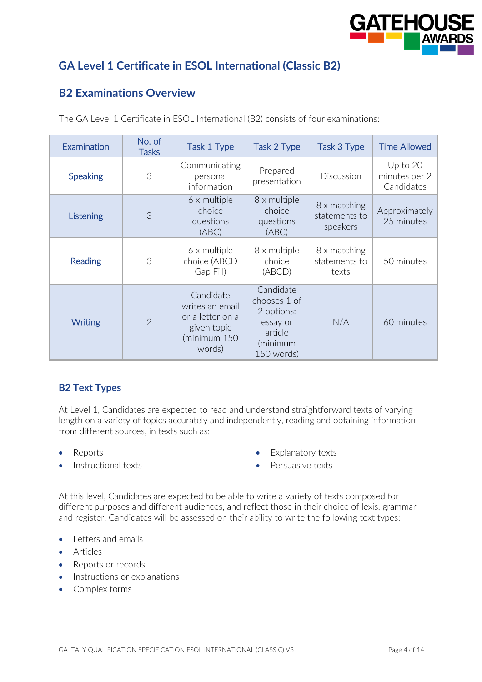

# **GA Level 1 Certificate in ESOL International (Classic B2)**

### **B2 Examinations Overview**

| Examination     | No. of<br><b>Tasks</b> | Task 1 Type                                                                               | Task 2 Type                                                                              | Task 3 Type                               | <b>Time Allowed</b>                     |
|-----------------|------------------------|-------------------------------------------------------------------------------------------|------------------------------------------------------------------------------------------|-------------------------------------------|-----------------------------------------|
| <b>Speaking</b> | 3                      | Communicating<br>personal<br>information                                                  | Prepared<br>presentation                                                                 | Discussion                                | Up to 20<br>minutes per 2<br>Candidates |
| Listening       | 3                      | 6 x multiple<br>choice<br>questions<br>(ABC)                                              | 8 x multiple<br>choice<br>questions<br>(ABC)                                             | 8 x matching<br>statements to<br>speakers | Approximately<br>25 minutes             |
| <b>Reading</b>  | 3                      | 6 x multiple<br>choice (ABCD<br>Gap Fill)                                                 | 8 x multiple<br>choice<br>(ABCD)                                                         | 8 x matching<br>statements to<br>texts    | 50 minutes                              |
| Writing         | $\overline{2}$         | Candidate<br>writes an email<br>or a letter on a<br>given topic<br>(minimum 150<br>words) | Candidate<br>chooses 1 of<br>2 options:<br>essay or<br>article<br>(minimum<br>150 words) | N/A                                       | 60 minutes                              |

The GA Level 1 Certificate in ESOL International (B2) consists of four examinations:

#### **B2 Text Types**

At Level 1, Candidates are expected to read and understand straightforward texts of varying length on a variety of topics accurately and independently, reading and obtaining information from different sources, in texts such as:

- Reports
- Instructional texts
- Explanatory texts
- Persuasive texts

At this level, Candidates are expected to be able to write a variety of texts composed for different purposes and different audiences, and reflect those in their choice of lexis, grammar and register. Candidates will be assessed on their ability to write the following text types:

- Letters and emails
- Articles
- Reports or records
- Instructions or explanations
- Complex forms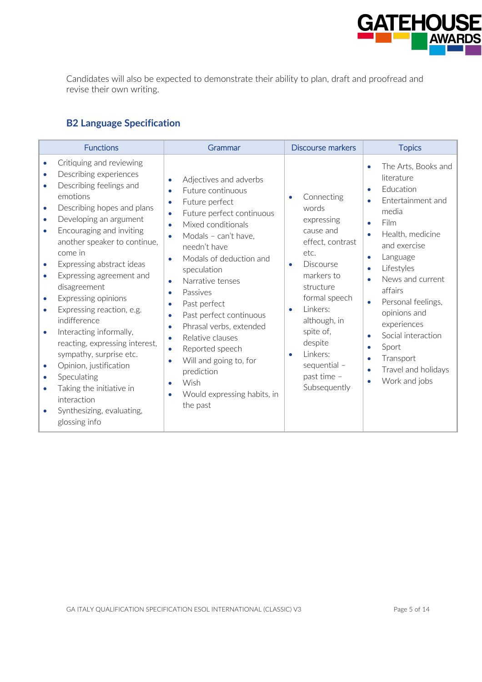

Candidates will also be expected to demonstrate their ability to plan, draft and proofread and revise their own writing.

# **B2 Language Specification**

| <b>Functions</b>                                                                                                                                                                                                                                                                                                                                                                                                                                                                                                                                                                                                                                                                                                                                                                      | Grammar                                                                                                                                                                                                                                                                                                                                                                                                                                                                                                                                                                                                                                                         | <b>Discourse markers</b>                                                                                                                                                                                                                                                     | <b>Topics</b>                                                                                                                                                                                                                                                                                                                                                                            |
|---------------------------------------------------------------------------------------------------------------------------------------------------------------------------------------------------------------------------------------------------------------------------------------------------------------------------------------------------------------------------------------------------------------------------------------------------------------------------------------------------------------------------------------------------------------------------------------------------------------------------------------------------------------------------------------------------------------------------------------------------------------------------------------|-----------------------------------------------------------------------------------------------------------------------------------------------------------------------------------------------------------------------------------------------------------------------------------------------------------------------------------------------------------------------------------------------------------------------------------------------------------------------------------------------------------------------------------------------------------------------------------------------------------------------------------------------------------------|------------------------------------------------------------------------------------------------------------------------------------------------------------------------------------------------------------------------------------------------------------------------------|------------------------------------------------------------------------------------------------------------------------------------------------------------------------------------------------------------------------------------------------------------------------------------------------------------------------------------------------------------------------------------------|
| Critiquing and reviewing<br>$\bullet$<br>Describing experiences<br>$\bullet$<br>Describing feelings and<br>$\bullet$<br>emotions<br>Describing hopes and plans<br>$\bullet$<br>Developing an argument<br>$\bullet$<br>Encouraging and inviting<br>$\bullet$<br>another speaker to continue,<br>come in<br>Expressing abstract ideas<br>$\bullet$<br>Expressing agreement and<br>$\bullet$<br>disagreement<br>Expressing opinions<br>$\bullet$<br>Expressing reaction, e.g.<br>$\bullet$<br>indifference<br>Interacting informally,<br>$\bullet$<br>reacting, expressing interest,<br>sympathy, surprise etc.<br>Opinion, justification<br>$\bullet$<br>Speculating<br>$\bullet$<br>Taking the initiative in<br>$\bullet$<br>interaction<br>Synthesizing, evaluating,<br>glossing info | Adjectives and adverbs<br>$\bullet$<br>Future continuous<br>$\bullet$<br>Future perfect<br>$\bullet$<br>Future perfect continuous<br>$\bullet$<br>Mixed conditionals<br>$\bullet$<br>Modals - can't have,<br>$\bullet$<br>needn't have<br>Modals of deduction and<br>$\bullet$<br>speculation<br>Narrative tenses<br>$\bullet$<br>Passives<br>$\bullet$<br>Past perfect<br>$\bullet$<br>Past perfect continuous<br>۰<br>Phrasal verbs, extended<br>$\bullet$<br>Relative clauses<br>$\bullet$<br>Reported speech<br>$\bullet$<br>Will and going to, for<br>$\bullet$<br>prediction<br>Wish<br>$\bullet$<br>Would expressing habits, in<br>$\bullet$<br>the past | Connecting<br>words<br>expressing<br>cause and<br>effect, contrast<br>etc.<br>Discourse<br>$\bullet$<br>markers to<br>structure<br>formal speech<br>Linkers:<br>although, in<br>spite of,<br>despite<br>Linkers:<br>$\bullet$<br>sequential -<br>past time -<br>Subsequently | The Arts, Books and<br>$\bullet$<br>literature<br>Education<br>$\bullet$<br>Entertainment and<br>media<br>Film<br>Health, medicine<br>and exercise<br>Language<br>$\bullet$<br>Lifestyles<br>News and current<br>affairs<br>Personal feelings,<br>opinions and<br>experiences<br>Social interaction<br>$\bullet$<br>Sport<br>Transport<br>۰<br>Travel and holidays<br>۰<br>Work and jobs |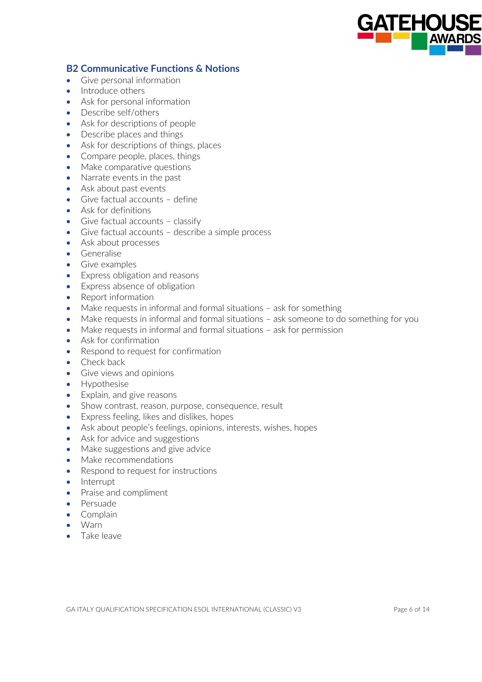

#### **B2 Communicative Functions & Notions**

- Give personal information
- Introduce others
- Ask for personal information
- Describe self/others
- Ask for descriptions of people
- Describe places and things
- Ask for descriptions of things, places
- Compare people, places, things
- Make comparative questions
- Narrate events in the past
- Ask about past events
- Give factual accounts define
- Ask for definitions
- Give factual accounts classify
- Give factual accounts describe a simple process
- Ask about processes
- Generalise
- Give examples
- Express obligation and reasons
- Express absence of obligation
- Report information
- Make requests in informal and formal situations ask for something
- Make requests in informal and formal situations ask someone to do something for you
- Make requests in informal and formal situations ask for permission
- Ask for confirmation
- Respond to request for confirmation
- Check back
- Give views and opinions
- Hypothesise
- Explain, and give reasons
- Show contrast, reason, purpose, consequence, result
- Express feeling, likes and dislikes, hopes
- Ask about people's feelings, opinions, interests, wishes, hopes
- Ask for advice and suggestions
- Make suggestions and give advice
- Make recommendations
- Respond to request for instructions
- Interrupt
- Praise and compliment
- Persuade
- Complain
- Warn
- Take leave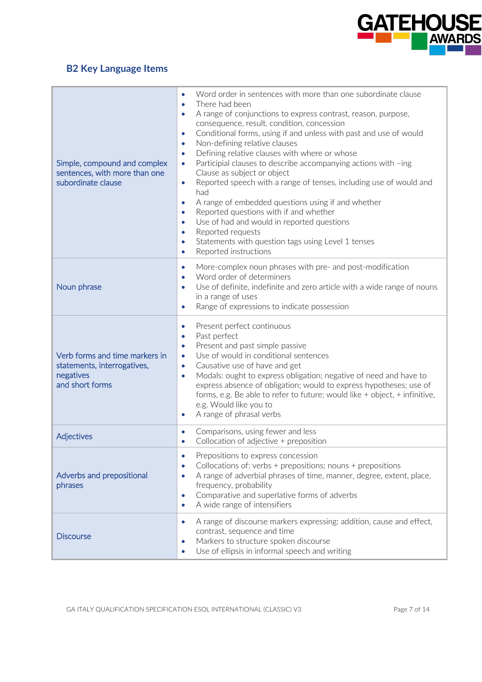

# **B2 Key Language Items**

| Simple, compound and complex<br>sentences, with more than one<br>subordinate clause           | Word order in sentences with more than one subordinate clause<br>$\bullet$<br>There had been<br>$\bullet$<br>A range of conjunctions to express contrast, reason, purpose,<br>۰<br>consequence, result, condition, concession<br>Conditional forms, using if and unless with past and use of would<br>$\bullet$<br>Non-defining relative clauses<br>$\bullet$<br>Defining relative clauses with where or whose<br>$\bullet$<br>Participial clauses to describe accompanying actions with -ing<br>$\bullet$<br>Clause as subject or object<br>Reported speech with a range of tenses, including use of would and<br>$\bullet$<br>had<br>A range of embedded questions using if and whether<br>۰<br>Reported questions with if and whether<br>$\bullet$<br>Use of had and would in reported questions<br>۰<br>Reported requests<br>$\bullet$<br>Statements with question tags using Level 1 tenses<br>۰<br>Reported instructions<br>$\bullet$ |
|-----------------------------------------------------------------------------------------------|---------------------------------------------------------------------------------------------------------------------------------------------------------------------------------------------------------------------------------------------------------------------------------------------------------------------------------------------------------------------------------------------------------------------------------------------------------------------------------------------------------------------------------------------------------------------------------------------------------------------------------------------------------------------------------------------------------------------------------------------------------------------------------------------------------------------------------------------------------------------------------------------------------------------------------------------|
| Noun phrase                                                                                   | More-complex noun phrases with pre- and post-modification<br>$\bullet$<br>Word order of determiners<br>Use of definite, indefinite and zero article with a wide range of nouns<br>$\bullet$<br>in a range of uses<br>Range of expressions to indicate possession<br>$\bullet$                                                                                                                                                                                                                                                                                                                                                                                                                                                                                                                                                                                                                                                               |
| Verb forms and time markers in<br>statements, interrogatives,<br>negatives<br>and short forms | Present perfect continuous<br>$\bullet$<br>Past perfect<br>$\bullet$<br>Present and past simple passive<br>$\bullet$<br>Use of would in conditional sentences<br>$\bullet$<br>Causative use of have and get<br>$\bullet$<br>Modals: ought to express obligation; negative of need and have to<br>۰<br>express absence of obligation; would to express hypotheses; use of<br>forms, e.g. Be able to refer to future; would like + object, + infinitive,<br>e.g. Would like you to<br>A range of phrasal verbs<br>$\bullet$                                                                                                                                                                                                                                                                                                                                                                                                                   |
| Adjectives                                                                                    | Comparisons, using fewer and less<br>$\bullet$<br>Collocation of adjective + preposition<br>$\bullet$                                                                                                                                                                                                                                                                                                                                                                                                                                                                                                                                                                                                                                                                                                                                                                                                                                       |
| Adverbs and prepositional<br>phrases                                                          | Prepositions to express concession<br>$\bullet$<br>Collocations of: verbs + prepositions; nouns + prepositions<br>۰<br>A range of adverbial phrases of time, manner, degree, extent, place,<br>$\bullet$<br>frequency, probability<br>Comparative and superlative forms of adverbs<br>$\bullet$<br>A wide range of intensifiers<br>$\bullet$                                                                                                                                                                                                                                                                                                                                                                                                                                                                                                                                                                                                |
| <b>Discourse</b>                                                                              | A range of discourse markers expressing: addition, cause and effect,<br>$\bullet$<br>contrast, sequence and time<br>Markers to structure spoken discourse<br>$\bullet$<br>Use of ellipsis in informal speech and writing<br>$\bullet$                                                                                                                                                                                                                                                                                                                                                                                                                                                                                                                                                                                                                                                                                                       |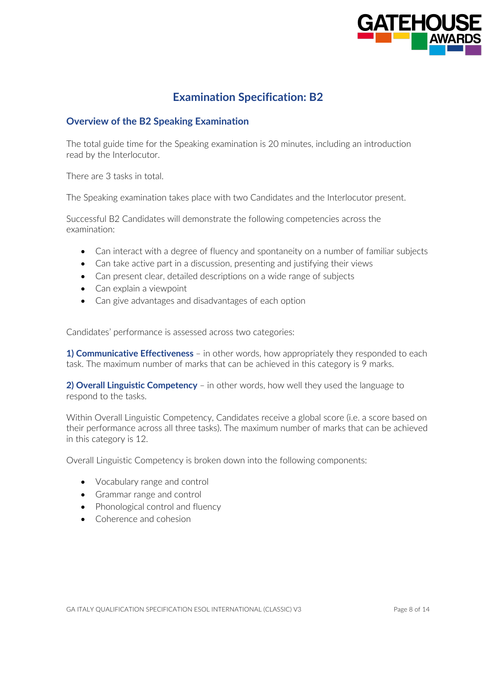

### **Examination Specification: B2**

#### **Overview of the B2 Speaking Examination**

The total guide time for the Speaking examination is 20 minutes, including an introduction read by the Interlocutor.

There are 3 tasks in total.

The Speaking examination takes place with two Candidates and the Interlocutor present.

Successful B2 Candidates will demonstrate the following competencies across the examination:

- Can interact with a degree of fluency and spontaneity on a number of familiar subjects
- Can take active part in a discussion, presenting and justifying their views
- Can present clear, detailed descriptions on a wide range of subjects
- Can explain a viewpoint
- Can give advantages and disadvantages of each option

Candidates' performance is assessed across two categories:

**1) Communicative Effectiveness** – in other words, how appropriately they responded to each task. The maximum number of marks that can be achieved in this category is 9 marks.

**2) Overall Linguistic Competency** – in other words, how well they used the language to respond to the tasks.

Within Overall Linguistic Competency, Candidates receive a global score (i.e. a score based on their performance across all three tasks). The maximum number of marks that can be achieved in this category is 12.

Overall Linguistic Competency is broken down into the following components:

- Vocabulary range and control
- Grammar range and control
- Phonological control and fluency
- Coherence and cohesion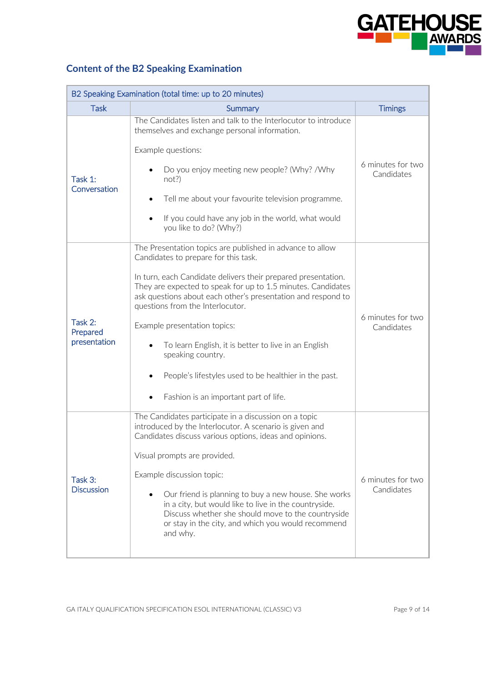

# **Content of the B2 Speaking Examination**

| B2 Speaking Examination (total time: up to 20 minutes) |                                                                                                                                                                                                                                                                                                                                                                                                                                                                                                                                                       |                                 |  |
|--------------------------------------------------------|-------------------------------------------------------------------------------------------------------------------------------------------------------------------------------------------------------------------------------------------------------------------------------------------------------------------------------------------------------------------------------------------------------------------------------------------------------------------------------------------------------------------------------------------------------|---------------------------------|--|
| <b>Task</b>                                            | Summary                                                                                                                                                                                                                                                                                                                                                                                                                                                                                                                                               | <b>Timings</b>                  |  |
| Task 1:<br>Conversation                                | The Candidates listen and talk to the Interlocutor to introduce<br>themselves and exchange personal information.<br>Example questions:<br>Do you enjoy meeting new people? (Why? /Why<br>not?<br>Tell me about your favourite television programme.<br>If you could have any job in the world, what would<br>$\bullet$<br>you like to do? (Why?)                                                                                                                                                                                                      | 6 minutes for two<br>Candidates |  |
| Task 2:<br>Prepared<br>presentation                    | The Presentation topics are published in advance to allow<br>Candidates to prepare for this task.<br>In turn, each Candidate delivers their prepared presentation.<br>They are expected to speak for up to 1.5 minutes. Candidates<br>ask questions about each other's presentation and respond to<br>questions from the Interlocutor.<br>Example presentation topics:<br>To learn English, it is better to live in an English<br>speaking country.<br>People's lifestyles used to be healthier in the past.<br>Fashion is an important part of life. | 6 minutes for two<br>Candidates |  |
| Task 3:<br><b>Discussion</b>                           | The Candidates participate in a discussion on a topic<br>introduced by the Interlocutor. A scenario is given and<br>Candidates discuss various options, ideas and opinions.<br>Visual prompts are provided.<br>Example discussion topic:<br>Our friend is planning to buy a new house. She works<br>in a city, but would like to live in the countryside.<br>Discuss whether she should move to the countryside<br>or stay in the city, and which you would recommend<br>and why.                                                                     | 6 minutes for two<br>Candidates |  |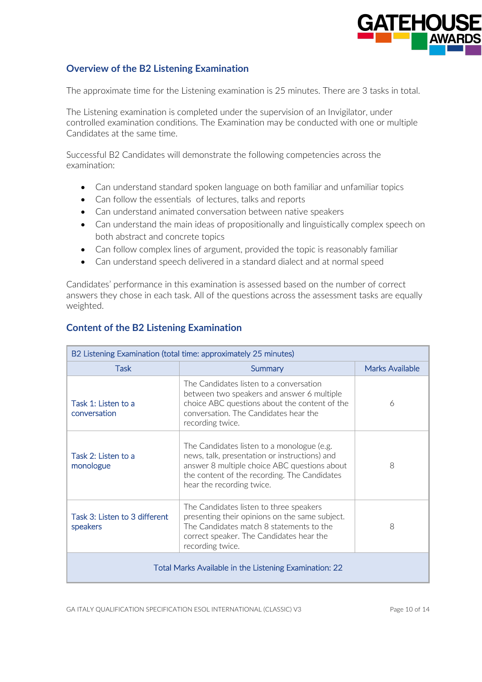

### **Overview of the B2 Listening Examination**

The approximate time for the Listening examination is 25 minutes. There are 3 tasks in total.

The Listening examination is completed under the supervision of an Invigilator, under controlled examination conditions. The Examination may be conducted with one or multiple Candidates at the same time.

Successful B2 Candidates will demonstrate the following competencies across the examination:

- Can understand standard spoken language on both familiar and unfamiliar topics
- Can follow the essentials of lectures, talks and reports
- Can understand animated conversation between native speakers
- Can understand the main ideas of propositionally and linguistically complex speech on both abstract and concrete topics
- Can follow complex lines of argument, provided the topic is reasonably familiar
- Can understand speech delivered in a standard dialect and at normal speed

Candidates' performance in this examination is assessed based on the number of correct answers they chose in each task. All of the questions across the assessment tasks are equally weighted.

| B2 Listening Examination (total time: approximately 25 minutes) |                                                                                                                                                                                                                          |                 |  |
|-----------------------------------------------------------------|--------------------------------------------------------------------------------------------------------------------------------------------------------------------------------------------------------------------------|-----------------|--|
| Task                                                            | Summary                                                                                                                                                                                                                  | Marks Available |  |
| Task 1: Listen to a<br>conversation                             | The Candidates listen to a conversation<br>between two speakers and answer 6 multiple<br>choice ABC questions about the content of the<br>conversation. The Candidates hear the<br>recording twice.                      | 6               |  |
| Task 2: Listen to a<br>monologue                                | The Candidates listen to a monologue (e.g.<br>news, talk, presentation or instructions) and<br>answer 8 multiple choice ABC questions about<br>the content of the recording. The Candidates<br>hear the recording twice. | 8               |  |
| Task 3: Listen to 3 different<br>speakers                       | The Candidates listen to three speakers<br>presenting their opinions on the same subject.<br>The Candidates match 8 statements to the<br>correct speaker. The Candidates hear the<br>recording twice.                    | 8               |  |
| Total Marks Available in the Listening Examination: 22          |                                                                                                                                                                                                                          |                 |  |

### **Content of the B2 Listening Examination**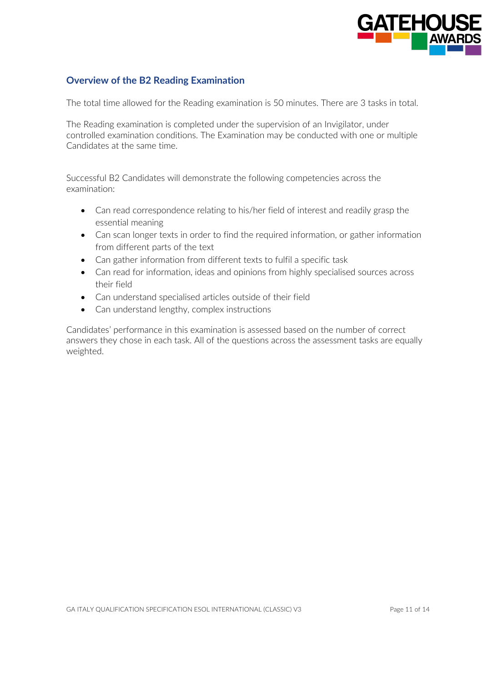

### **Overview of the B2 Reading Examination**

The total time allowed for the Reading examination is 50 minutes. There are 3 tasks in total.

The Reading examination is completed under the supervision of an Invigilator, under controlled examination conditions. The Examination may be conducted with one or multiple Candidates at the same time.

Successful B2 Candidates will demonstrate the following competencies across the examination:

- Can read correspondence relating to his/her field of interest and readily grasp the essential meaning
- Can scan longer texts in order to find the required information, or gather information from different parts of the text
- Can gather information from different texts to fulfil a specific task
- Can read for information, ideas and opinions from highly specialised sources across their field
- Can understand specialised articles outside of their field
- Can understand lengthy, complex instructions

Candidates' performance in this examination is assessed based on the number of correct answers they chose in each task. All of the questions across the assessment tasks are equally weighted.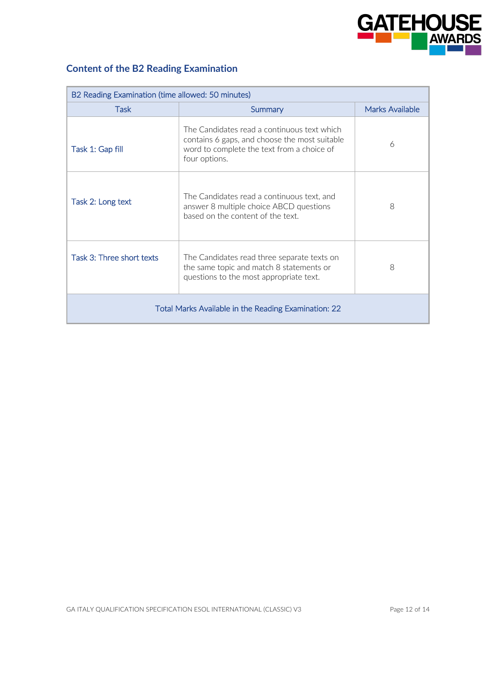

# **Content of the B2 Reading Examination**

| B2 Reading Examination (time allowed: 50 minutes)    |                                                                                                                                                             |                 |  |
|------------------------------------------------------|-------------------------------------------------------------------------------------------------------------------------------------------------------------|-----------------|--|
| <b>Task</b>                                          | Summary                                                                                                                                                     | Marks Available |  |
| Task 1: Gap fill                                     | The Candidates read a continuous text which<br>contains 6 gaps, and choose the most suitable<br>word to complete the text from a choice of<br>four options. | 6               |  |
| Task 2: Long text                                    | The Candidates read a continuous text, and<br>answer 8 multiple choice ABCD questions<br>based on the content of the text.                                  | 8               |  |
| Task 3: Three short texts                            | The Candidates read three separate texts on<br>the same topic and match 8 statements or<br>questions to the most appropriate text.                          | 8               |  |
| Total Marks Available in the Reading Examination: 22 |                                                                                                                                                             |                 |  |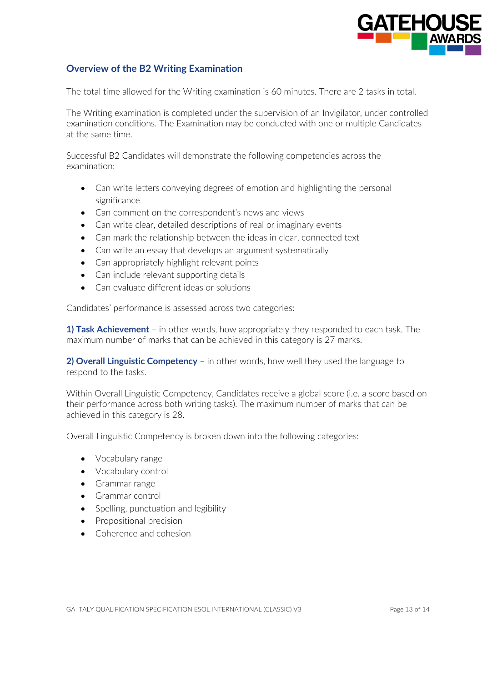

### **Overview of the B2 Writing Examination**

The total time allowed for the Writing examination is 60 minutes. There are 2 tasks in total.

The Writing examination is completed under the supervision of an Invigilator, under controlled examination conditions. The Examination may be conducted with one or multiple Candidates at the same time.

Successful B2 Candidates will demonstrate the following competencies across the examination:

- Can write letters conveying degrees of emotion and highlighting the personal significance
- Can comment on the correspondent's news and views
- Can write clear, detailed descriptions of real or imaginary events
- Can mark the relationship between the ideas in clear, connected text
- Can write an essay that develops an argument systematically
- Can appropriately highlight relevant points
- Can include relevant supporting details
- Can evaluate different ideas or solutions

Candidates' performance is assessed across two categories:

**1) Task Achievement** – in other words, how appropriately they responded to each task. The maximum number of marks that can be achieved in this category is 27 marks.

**2) Overall Linguistic Competency** – in other words, how well they used the language to respond to the tasks.

Within Overall Linguistic Competency, Candidates receive a global score (i.e. a score based on their performance across both writing tasks). The maximum number of marks that can be achieved in this category is 28.

Overall Linguistic Competency is broken down into the following categories:

- Vocabulary range
- Vocabulary control
- Grammar range
- Grammar control
- Spelling, punctuation and legibility
- Propositional precision
- Coherence and cohesion